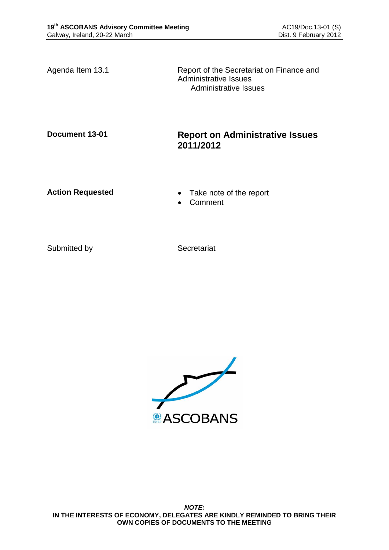Agenda Item 13.1 Report of the Secretariat on Finance and Administrative Issues Administrative Issues

## **Document 13-01 Report on Administrative Issues 2011/2012**

- Action Requested **Calculated Take note of the report** 
	- Comment

Submitted by Secretariat

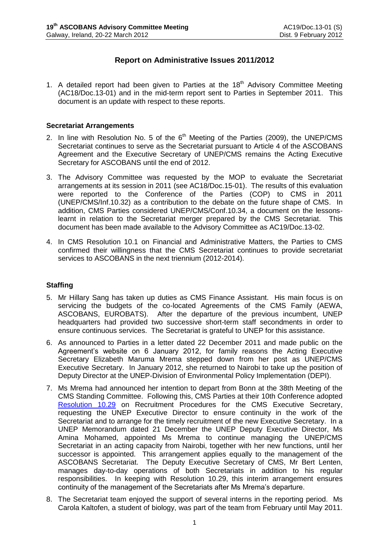## **Report on Administrative Issues 2011/2012**

1. A detailed report had been given to Parties at the  $18<sup>th</sup>$  Advisory Committee Meeting (AC18/Doc.13-01) and in the mid-term report sent to Parties in September 2011. This document is an update with respect to these reports.

## **Secretariat Arrangements**

- 2. In line with Resolution No. 5 of the  $6<sup>th</sup>$  Meeting of the Parties (2009), the UNEP/CMS Secretariat continues to serve as the Secretariat pursuant to Article 4 of the ASCOBANS Agreement and the Executive Secretary of UNEP/CMS remains the Acting Executive Secretary for ASCOBANS until the end of 2012.
- 3. The Advisory Committee was requested by the MOP to evaluate the Secretariat arrangements at its session in 2011 (see AC18/Doc.15-01). The results of this evaluation were reported to the Conference of the Parties (COP) to CMS in 2011 (UNEP/CMS/Inf.10.32) as a contribution to the debate on the future shape of CMS. In addition, CMS Parties considered UNEP/CMS/Conf.10.34, a document on the lessonslearnt in relation to the Secretariat merger prepared by the CMS Secretariat. This document has been made available to the Advisory Committee as AC19/Doc.13-02.
- 4. In CMS Resolution 10.1 on Financial and Administrative Matters, the Parties to CMS confirmed their willingness that the CMS Secretariat continues to provide secretariat services to ASCOBANS in the next triennium (2012-2014).

## **Staffing**

- 5. Mr Hillary Sang has taken up duties as CMS Finance Assistant. His main focus is on servicing the budgets of the co-located Agreements of the CMS Family (AEWA, ASCOBANS, EUROBATS). After the departure of the previous incumbent, UNEP headquarters had provided two successive short-term staff secondments in order to ensure continuous services. The Secretariat is grateful to UNEP for this assistance.
- 6. As announced to Parties in a letter dated 22 December 2011 and made public on the Agreement's website on 6 January 2012, for family reasons the Acting Executive Secretary Elizabeth Maruma Mrema stepped down from her post as UNEP/CMS Executive Secretary. In January 2012, she returned to Nairobi to take up the position of Deputy Director at the UNEP-Division of Environmental Policy Implementation (DEPI).
- 7. Ms Mrema had announced her intention to depart from Bonn at the 38th Meeting of the CMS Standing Committee. Following this, CMS Parties at their 10th Conference adopted [Resolution 10.29](http://www.cms.int/bodies/COP/cop10/resolutions_adopted/10_29_execsec_appoint_e.pdf) on Recruitment Procedures for the CMS Executive Secretary, requesting the UNEP Executive Director to ensure continuity in the work of the Secretariat and to arrange for the timely recruitment of the new Executive Secretary. In a UNEP Memorandum dated 21 December the UNEP Deputy Executive Director, Ms Amina Mohamed, appointed Ms Mrema to continue managing the UNEP/CMS Secretariat in an acting capacity from Nairobi, together with her new functions, until her successor is appointed. This arrangement applies equally to the management of the ASCOBANS Secretariat. The Deputy Executive Secretary of CMS, Mr Bert Lenten, manages day-to-day operations of both Secretariats in addition to his regular responsibilities. In keeping with Resolution 10.29, this interim arrangement ensures continuity of the management of the Secretariats after Ms Mrema's departure.
- 8. The Secretariat team enjoyed the support of several interns in the reporting period. Ms Carola Kaltofen, a student of biology, was part of the team from February until May 2011.